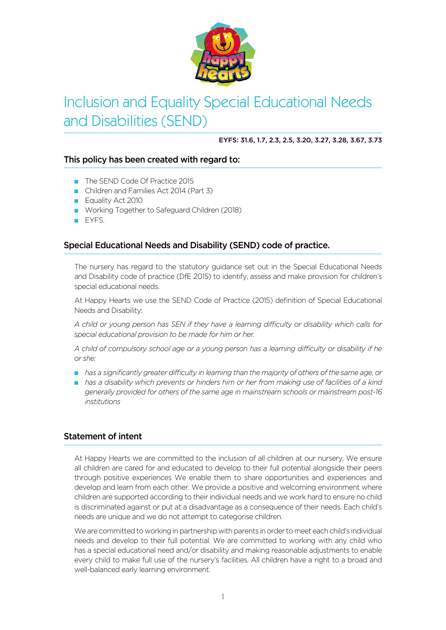

# Inclusion and Equality Special Educational Needs and Disabilities (SEND)

## EYFS: 31.6, 1.7, 2.3, 2.5, 3.20, 3.27, 3.28, 3.67, 3.73

# This policy has been created with regard to:

- n The SEND Code Of Practice 2015
- Children and Families Act 2014 (Part 3)
- **Equality Act 2010**
- **Norking Together to Safeguard Children (2018)**
- n EYFS.

# Special Educational Needs and Disability (SEND) code of practice.

The nursery has regard to the statutory guidance set out in the Special Educational Needs and Disability code of practice (DfE 2015) to identify, assess and make provision for children's special educational needs.

At Happy Hearts we use the SEND Code of Practice (2015) definition of Special Educational Needs and Disability:

*A child or young person has SEN if they have a learning difficulty or disability which calls for special educational provision to be made for him or her.*

*A child of compulsory school age or a young person has a learning difficulty or disability if he or she:*

- n *has a significantly greater difficulty in learning than the majority of others of the same age, or*
- n *has a disability which prevents or hinders him or her from making use of facilities of a kind generally provided for others of the same age in mainstream schools or mainstream post-16 institutions*

## Statement of intent

At Happy Hearts we are committed to the inclusion of all children at our nursery. We ensure all children are cared for and educated to develop to their full potential alongside their peers through positive experiences We enable them to share opportunities and experiences and develop and learn from each other. We provide a positive and welcoming environment where children are supported according to their individual needs and we work hard to ensure no child is discriminated against or put at a disadvantage as a consequence of their needs. Each child's needs are unique and we do not attempt to categorise children.

We are committed to working in partnership with parents in order to meet each child's individual needs and develop to their full potential. We are committed to working with any child who has a special educational need and/or disability and making reasonable adjustments to enable every child to make full use of the nursery's facilities. All children have a right to a broad and well-balanced early learning environment.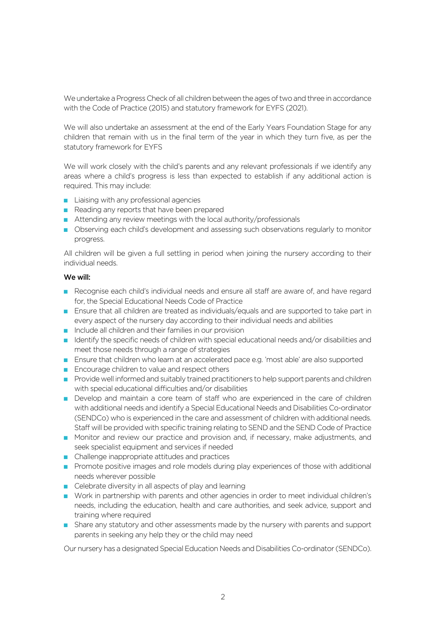We undertake a Progress Check of all children between the ages of two and three in accordance with the Code of Practice (2015) and statutory framework for EYFS (2021).

We will also undertake an assessment at the end of the Early Years Foundation Stage for any children that remain with us in the final term of the year in which they turn five, as per the statutory framework for EYFS

We will work closely with the child's parents and any relevant professionals if we identify any areas where a child's progress is less than expected to establish if any additional action is required. This may include:

- **n** Liaising with any professional agencies
- Reading any reports that have been prepared
- $\blacksquare$  Attending any review meetings with the local authority/professionals
- n Observing each child's development and assessing such observations regularly to monitor progress.

All children will be given a full settling in period when joining the nursery according to their individual needs.

#### We will:

- n Recognise each child's individual needs and ensure all staff are aware of, and have regard for, the Special Educational Needs Code of Practice
- **n** Ensure that all children are treated as individuals/equals and are supported to take part in every aspect of the nursery day according to their individual needs and abilities
- $\blacksquare$  Include all children and their families in our provision
- n Identify the specific needs of children with special educational needs and/or disabilities and meet those needs through a range of strategies
- n Ensure that children who learn at an accelerated pace e.g. 'most able' are also supported
- **n** Encourage children to value and respect others
- n Provide well informed and suitably trained practitioners to help support parents and children with special educational difficulties and/or disabilities
- n Develop and maintain a core team of staff who are experienced in the care of children with additional needs and identify a Special Educational Needs and Disabilities Co-ordinator (SENDCo) who is experienced in the care and assessment of children with additional needs. Staff will be provided with specific training relating to SEND and the SEND Code of Practice
- n Monitor and review our practice and provision and, if necessary, make adjustments, and seek specialist equipment and services if needed
- Challenge inappropriate attitudes and practices
- n Promote positive images and role models during play experiences of those with additional needs wherever possible
- Celebrate diversity in all aspects of play and learning
- n Work in partnership with parents and other agencies in order to meet individual children's needs, including the education, health and care authorities, and seek advice, support and training where required
- n Share any statutory and other assessments made by the nursery with parents and support parents in seeking any help they or the child may need

Our nursery has a designated Special Education Needs and Disabilities Co-ordinator (SENDCo).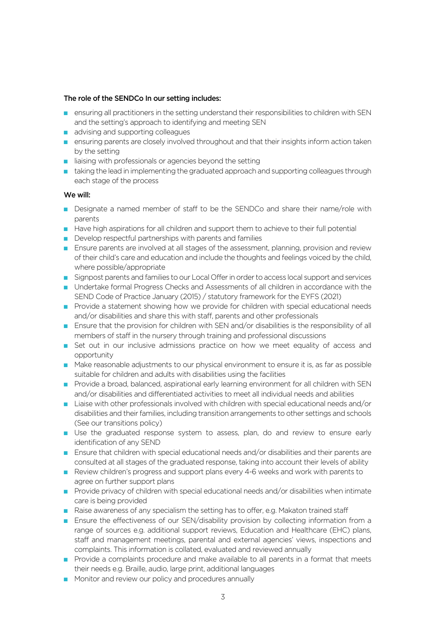## The role of the SENDCo In our setting includes:

- n ensuring all practitioners in the setting understand their responsibilities to children with SEN and the setting's approach to identifying and meeting SEN
- advising and supporting colleagues
- n ensuring parents are closely involved throughout and that their insights inform action taken by the setting
- $\blacksquare$  liaising with professionals or agencies beyond the setting
- n taking the lead in implementing the graduated approach and supporting colleagues through each stage of the process

#### We will:

- n Designate a named member of staff to be the SENDCo and share their name/role with parents
- n Have high aspirations for all children and support them to achieve to their full potential
- Develop respectful partnerships with parents and families
- **n** Ensure parents are involved at all stages of the assessment, planning, provision and review of their child's care and education and include the thoughts and feelings voiced by the child, where possible/appropriate
- n Signpost parents and families to our Local Offer in order to access local support and services
- n Undertake formal Progress Checks and Assessments of all children in accordance with the SEND Code of Practice January (2015) / statutory framework for the EYFS (2021)
- n Provide a statement showing how we provide for children with special educational needs and/or disabilities and share this with staff, parents and other professionals
- n Ensure that the provision for children with SEN and/or disabilities is the responsibility of all members of staff in the nursery through training and professional discussions
- **n** Set out in our inclusive admissions practice on how we meet equality of access and opportunity
- n Make reasonable adjustments to our physical environment to ensure it is, as far as possible suitable for children and adults with disabilities using the facilities
- n Provide a broad, balanced, aspirational early learning environment for all children with SEN and/or disabilities and differentiated activities to meet all individual needs and abilities
- n Liaise with other professionals involved with children with special educational needs and/or disabilities and their families, including transition arrangements to other settings and schools (See our transitions policy)
- n Use the graduated response system to assess, plan, do and review to ensure early identification of any SEND
- n Ensure that children with special educational needs and/or disabilities and their parents are consulted at all stages of the graduated response, taking into account their levels of ability
- n Review children's progress and support plans every 4-6 weeks and work with parents to agree on further support plans
- n Provide privacy of children with special educational needs and/or disabilities when intimate care is being provided
- n Raise awareness of any specialism the setting has to offer, e.g. Makaton trained staff
- **n** Ensure the effectiveness of our SEN/disability provision by collecting information from a range of sources e.g. additional support reviews, Education and Healthcare (EHC) plans, staff and management meetings, parental and external agencies' views, inspections and complaints. This information is collated, evaluated and reviewed annually
- **n** Provide a complaints procedure and make available to all parents in a format that meets their needs e.g. Braille, audio, large print, additional languages
- **n** Monitor and review our policy and procedures annually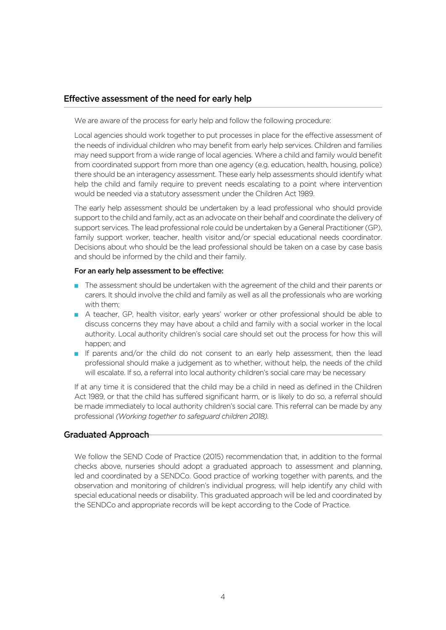## Effective assessment of the need for early help

We are aware of the process for early help and follow the following procedure:

Local agencies should work together to put processes in place for the effective assessment of the needs of individual children who may benefit from early help services. Children and families may need support from a wide range of local agencies. Where a child and family would benefit from coordinated support from more than one agency (e.g. education, health, housing, police) there should be an interagency assessment. These early help assessments should identify what help the child and family require to prevent needs escalating to a point where intervention would be needed via a statutory assessment under the Children Act 1989.

The early help assessment should be undertaken by a lead professional who should provide support to the child and family, act as an advocate on their behalf and coordinate the delivery of support services. The lead professional role could be undertaken by a General Practitioner (GP), family support worker, teacher, health visitor and/or special educational needs coordinator. Decisions about who should be the lead professional should be taken on a case by case basis and should be informed by the child and their family.

#### For an early help assessment to be effective:

- The assessment should be undertaken with the agreement of the child and their parents or carers. It should involve the child and family as well as all the professionals who are working with them;
- n A teacher, GP, health visitor, early years' worker or other professional should be able to discuss concerns they may have about a child and family with a social worker in the local authority. Local authority children's social care should set out the process for how this will happen; and
- n If parents and/or the child do not consent to an early help assessment, then the lead professional should make a judgement as to whether, without help, the needs of the child will escalate. If so, a referral into local authority children's social care may be necessary

If at any time it is considered that the child may be a child in need as defined in the Children Act 1989, or that the child has suffered significant harm, or is likely to do so, a referral should be made immediately to local authority children's social care. This referral can be made by any professional *(Working together to safeguard children 2018).*

## Graduated Approach

We follow the SEND Code of Practice (2015) recommendation that, in addition to the formal checks above, nurseries should adopt a graduated approach to assessment and planning, led and coordinated by a SENDCo. Good practice of working together with parents, and the observation and monitoring of children's individual progress, will help identify any child with special educational needs or disability. This graduated approach will be led and coordinated by the SENDCo and appropriate records will be kept according to the Code of Practice.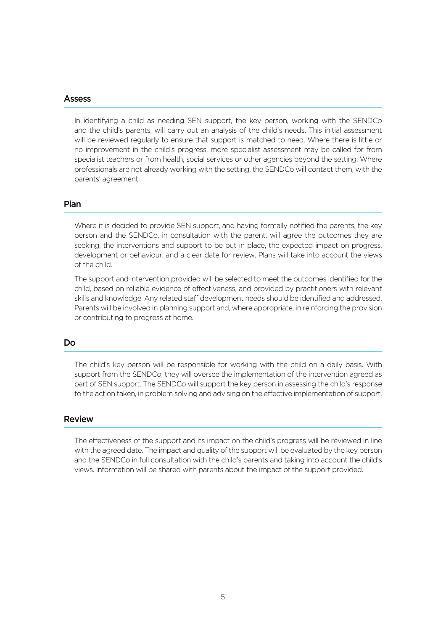## **Assess**

In identifying a child as needing SEN support, the key person, working with the SENDCo and the child's parents, will carry out an analysis of the child's needs. This initial assessment will be reviewed regularly to ensure that support is matched to need. Where there is little or no improvement in the child's progress, more specialist assessment may be called for from specialist teachers or from health, social services or other agencies beyond the setting. Where professionals are not already working with the setting, the SENDCo will contact them, with the parents' agreement.

#### Plan

Where it is decided to provide SEN support, and having formally notified the parents, the key person and the SENDCo, in consultation with the parent, will agree the outcomes they are seeking, the interventions and support to be put in place, the expected impact on progress, development or behaviour, and a clear date for review. Plans will take into account the views of the child.

The support and intervention provided will be selected to meet the outcomes identified for the child, based on reliable evidence of effectiveness, and provided by practitioners with relevant skills and knowledge. Any related staff development needs should be identified and addressed. Parents will be involved in planning support and, where appropriate, in reinforcing the provision or contributing to progress at home.

## Do

The child's key person will be responsible for working with the child on a daily basis. With support from the SENDCo, they will oversee the implementation of the intervention agreed as part of SEN support. The SENDCo will support the key person in assessing the child's response to the action taken, in problem solving and advising on the effective implementation of support.

## Review

The effectiveness of the support and its impact on the child's progress will be reviewed in line with the agreed date. The impact and quality of the support will be evaluated by the key person and the SENDCo in full consultation with the child's parents and taking into account the child's views. Information will be shared with parents about the impact of the support provided.